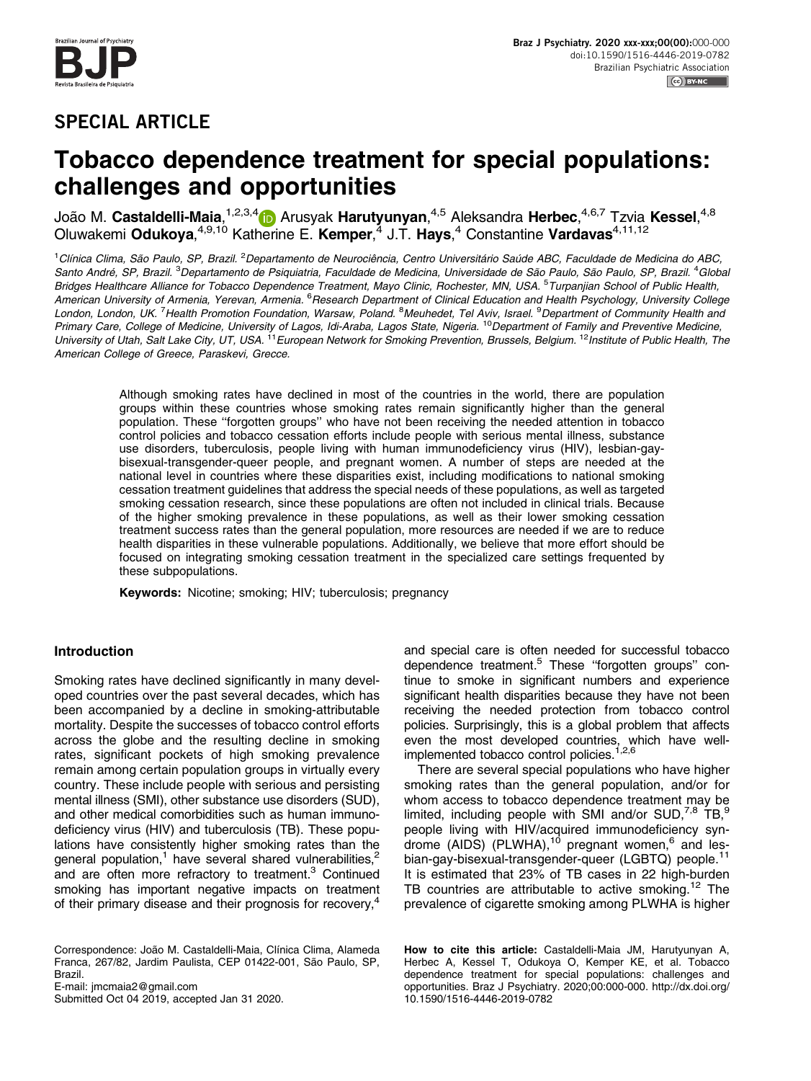# SPECIAL ARTICLE

# Tobacco dependence treatment for special populations: challenges and opportunities

João M. **Castaldelli-Maia**,<sup>1,2,3,4</sup>10 Arusyak **Harutyunyan**,<sup>4,5</sup> Aleksandra **Herbec**,<sup>4,6,7</sup> Tzvia Kessel,<sup>4,8</sup> Oluwakemi Odukoya,<sup>4,9,10</sup> Katherine E. Kemper,<sup>4</sup> J.T. Hays,<sup>4</sup> Constantine Vardavas<sup>4,11,12</sup>

<sup>1</sup>Clínica Clima, São Paulo, SP, Brazil. <sup>2</sup>Departamento de Neurociência, Centro Universitário Saúde ABC, Faculdade de Medicina do ABC, Santo André, SP, Brazil. <sup>3</sup>Departamento de Psiquiatria, Faculdade de Medicina, Universidade de São Paulo, São Paulo, SP, Brazil. <sup>4</sup>Globa Bridges Healthcare Alliance for Tobacco Dependence Treatment, Mayo Clinic, Rochester, MN, USA. <sup>5</sup>Turpanjian School of Public Health, American University of Armenia, Yerevan, Armenia. <sup>6</sup>Research Department of Clinical Education and Health Psychology, University College London, London, UK.<sup>7</sup> Health Promotion Foundation, Warsaw, Poland. <sup>8</sup>Meuhedet, Tel Aviv, Israel. <sup>9</sup>Department of Community Health and Primary Care, College of Medicine, University of Lagos, Idi-Araba, Lagos State, Nigeria. <sup>10</sup> Department of Family and Preventive Medicine, University of Utah, Salt Lake City, UT, USA. <sup>11</sup> European Network for Smoking Prevention, Brussels, Belgium. <sup>12</sup> Institute of Public Health, The American College of Greece, Paraskevi, Grecce.

Although smoking rates have declined in most of the countries in the world, there are population groups within these countries whose smoking rates remain significantly higher than the general population. These ''forgotten groups'' who have not been receiving the needed attention in tobacco control policies and tobacco cessation efforts include people with serious mental illness, substance use disorders, tuberculosis, people living with human immunodeficiency virus (HIV), lesbian-gaybisexual-transgender-queer people, and pregnant women. A number of steps are needed at the national level in countries where these disparities exist, including modifications to national smoking cessation treatment guidelines that address the special needs of these populations, as well as targeted smoking cessation research, since these populations are often not included in clinical trials. Because of the higher smoking prevalence in these populations, as well as their lower smoking cessation treatment success rates than the general population, more resources are needed if we are to reduce health disparities in these vulnerable populations. Additionally, we believe that more effort should be focused on integrating smoking cessation treatment in the specialized care settings frequented by these subpopulations.

Keywords: Nicotine; smoking; HIV; tuberculosis; pregnancy

## Introduction

Smoking rates have declined significantly in many developed countries over the past several decades, which has been accompanied by a decline in smoking-attributable mortality. Despite the successes of tobacco control efforts across the globe and the resulting decline in smoking rates, significant pockets of high smoking prevalence remain among certain population groups in virtually every country. These include people with serious and persisting mental illness (SMI), other substance use disorders (SUD), and other medical comorbidities such as human immunodeficiency virus (HIV) and tuberculosis (TB). These populations have consistently higher smoking rates than the general population,<sup>1</sup> have several shared vulnerabilities,<sup>2</sup> and are often more refractory to treatment.<sup>3</sup> Continued smoking has important negative impacts on treatment of their primary disease and their prognosis for recovery,<sup>4</sup>

Correspondence: João M. Castaldelli-Maia, Clínica Clima, Alameda Franca, 267/82, Jardim Paulista, CEP 01422-001, São Paulo, SP, Brazil.

E-mail: [jmcmaia2@gmail.com](mailto:jmcmaia2@gmail.com)

Submitted Oct 04 2019, accepted Jan 31 2020.

and special care is often needed for successful tobacco dependence treatment.<sup>5</sup> These "forgotten groups" continue to smoke in significant numbers and experience significant health disparities because they have not been receiving the needed protection from tobacco control policies. Surprisingly, this is a global problem that affects even the most developed countries, which have well-implemented tobacco control policies.<sup>[1,2,6](#page-5-0)</sup>

There are several special populations who have higher smoking rates than the general population, and/or for whom access to tobacco dependence treatment may be limited, including people with SMI and/or SUD, $^{7,8}$  $^{7,8}$  $^{7,8}$  TB, $^{9}$  $^{9}$  $^{9}$ people living with HIV/acquired immunodeficiency syndrome (AIDS) (PLWHA), $^{10}$  $^{10}$  $^{10}$  pregnant women, $^6$  $^6$  and lesbian-gay-bisexual-transgender-queer (LGBTQ) people.<sup>11</sup> It is estimated that 23% of TB cases in 22 high-burden TB countries are attributable to active smoking.<sup>[12](#page-5-0)</sup> The prevalence of cigarette smoking among PLWHA is higher

How to cite this article: Castaldelli-Maia JM, Harutyunyan A, Herbec A, Kessel T, Odukoya O, Kemper KE, et al. Tobacco dependence treatment for special populations: challenges and opportunities. Braz J Psychiatry. 2020;00:000-000. [http://dx.doi.org/](http://dx.doi.org/10.1590/1516-4446-2019-0782) [10.1590/1516-4446-2019-0782](http://dx.doi.org/10.1590/1516-4446-2019-0782)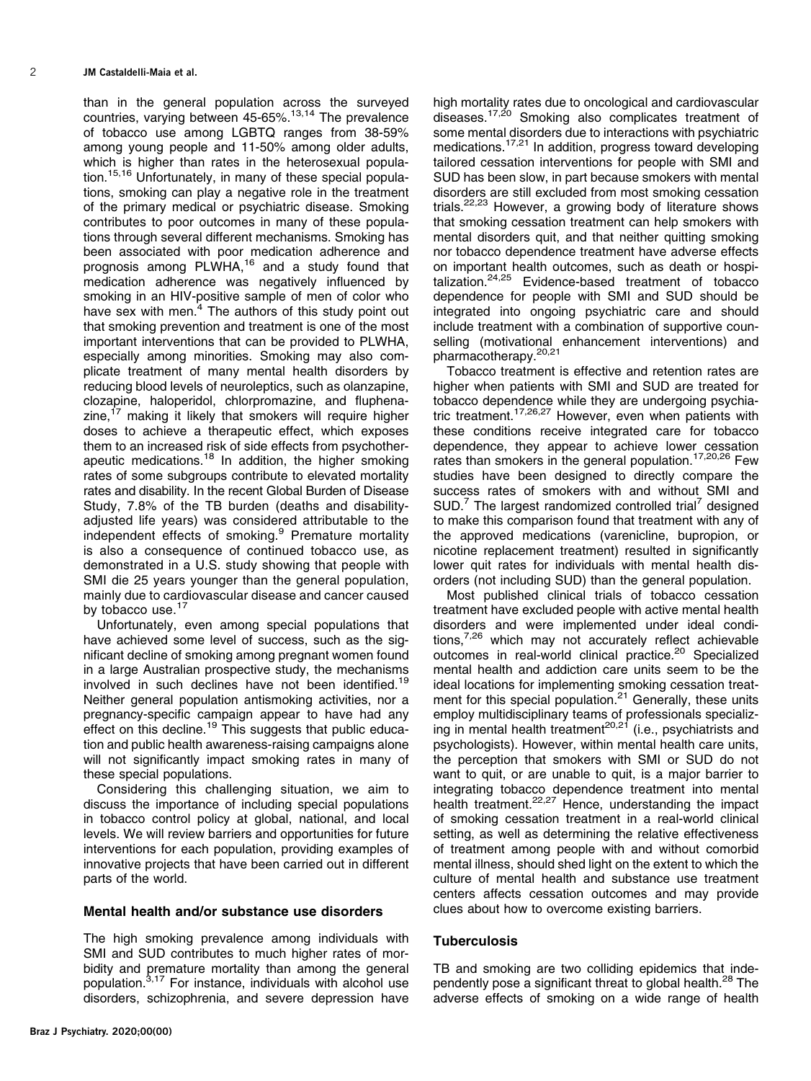than in the general population across the surveyed countries, varying between 45-65%.[13,14](#page-5-0) The prevalence of tobacco use among LGBTQ ranges from 38-59% among young people and 11-50% among older adults, which is higher than rates in the heterosexual population[.15,16](#page-5-0) Unfortunately, in many of these special populations, smoking can play a negative role in the treatment of the primary medical or psychiatric disease. Smoking contributes to poor outcomes in many of these populations through several different mechanisms. Smoking has been associated with poor medication adherence and prognosis among PLWHA[,16](#page-5-0) and a study found that medication adherence was negatively influenced by smoking in an HIV-positive sample of men of color who have sex with men. $4$  The authors of this study point out that smoking prevention and treatment is one of the most important interventions that can be provided to PLWHA, especially among minorities. Smoking may also complicate treatment of many mental health disorders by reducing blood levels of neuroleptics, such as olanzapine, clozapine, haloperidol, chlorpromazine, and fluphenazine, $17$  making it likely that smokers will require higher doses to achieve a therapeutic effect, which exposes them to an increased risk of side effects from psychother-apeutic medications.<sup>[18](#page-5-0)</sup> In addition, the higher smoking rates of some subgroups contribute to elevated mortality rates and disability. In the recent Global Burden of Disease Study, 7.8% of the TB burden (deaths and disabilityadjusted life years) was considered attributable to the independent effects of smoking.<sup>[9](#page-5-0)</sup> Premature mortality is also a consequence of continued tobacco use, as demonstrated in a U.S. study showing that people with SMI die 25 years younger than the general population, mainly due to cardiovascular disease and cancer caused by tobacco use.<sup>[17](#page-5-0)</sup>

Unfortunately, even among special populations that have achieved some level of success, such as the significant decline of smoking among pregnant women found in a large Australian prospective study, the mechanisms involved in such declines have not been identified.[19](#page-5-0) Neither general population antismoking activities, nor a pregnancy-specific campaign appear to have had any effect on this decline.<sup>[19](#page-5-0)</sup> This suggests that public education and public health awareness-raising campaigns alone will not significantly impact smoking rates in many of these special populations.

Considering this challenging situation, we aim to discuss the importance of including special populations in tobacco control policy at global, national, and local levels. We will review barriers and opportunities for future interventions for each population, providing examples of innovative projects that have been carried out in different parts of the world.

#### Mental health and/or substance use disorders

The high smoking prevalence among individuals with SMI and SUD contributes to much higher rates of morbidity and premature mortality than among the general population[.3,17](#page-5-0) For instance, individuals with alcohol use disorders, schizophrenia, and severe depression have high mortality rates due to oncological and cardiovascular diseases[.17,20](#page-5-0) Smoking also complicates treatment of some mental disorders due to interactions with psychiatric medications[.17,21](#page-5-0) In addition, progress toward developing tailored cessation interventions for people with SMI and SUD has been slow, in part because smokers with mental disorders are still excluded from most smoking cessation trials.<sup>[22,23](#page-5-0)</sup> However, a growing body of literature shows that smoking cessation treatment can help smokers with mental disorders quit, and that neither quitting smoking nor tobacco dependence treatment have adverse effects on important health outcomes, such as death or hospitalization.[24,25](#page-5-0) Evidence-based treatment of tobacco dependence for people with SMI and SUD should be integrated into ongoing psychiatric care and should include treatment with a combination of supportive counselling (motivational enhancement interventions) and pharmacotherapy.<sup>20,21</sup>

Tobacco treatment is effective and retention rates are higher when patients with SMI and SUD are treated for tobacco dependence while they are undergoing psychiatric treatment.<sup>17,26,27</sup> However, even when patients with these conditions receive integrated care for tobacco dependence, they appear to achieve lower cessation rates than smokers in the general population.<sup>[17,20,26](#page-5-0)</sup> Few studies have been designed to directly compare the success rates of smokers with and without SMI and  $SUD.<sup>7</sup>$  $SUD.<sup>7</sup>$  $SUD.<sup>7</sup>$  The largest randomized controlled trial<sup>7</sup> designed to make this comparison found that treatment with any of the approved medications (varenicline, bupropion, or nicotine replacement treatment) resulted in significantly lower quit rates for individuals with mental health disorders (not including SUD) than the general population.

Most published clinical trials of tobacco cessation treatment have excluded people with active mental health disorders and were implemented under ideal conditions, $7,26$  which may not accurately reflect achievable outcomes in real-world clinical practice.<sup>20</sup> Specialized mental health and addiction care units seem to be the ideal locations for implementing smoking cessation treat-ment for this special population.<sup>[21](#page-5-0)</sup> Generally, these units employ multidisciplinary teams of professionals specializ-ing in mental health treatment<sup>[20,21](#page-5-0)</sup> (i.e., psychiatrists and psychologists). However, within mental health care units, the perception that smokers with SMI or SUD do not want to quit, or are unable to quit, is a major barrier to integrating tobacco dependence treatment into mental health treatment.<sup>[22,27](#page-5-0)</sup> Hence, understanding the impact of smoking cessation treatment in a real-world clinical setting, as well as determining the relative effectiveness of treatment among people with and without comorbid mental illness, should shed light on the extent to which the culture of mental health and substance use treatment centers affects cessation outcomes and may provide clues about how to overcome existing barriers.

# **Tuberculosis**

TB and smoking are two colliding epidemics that inde-pendently pose a significant threat to global health.<sup>[28](#page-5-0)</sup> The adverse effects of smoking on a wide range of health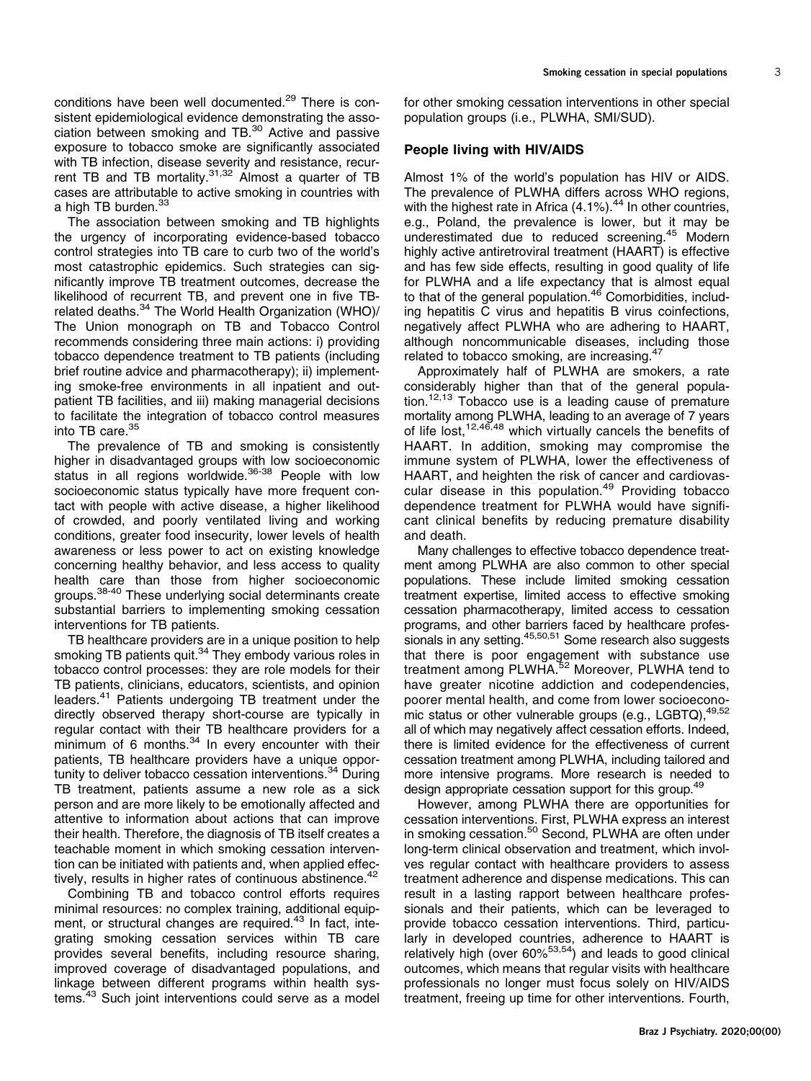conditions have been well documented.<sup>[29](#page-6-0)</sup> There is consistent epidemiological evidence demonstrating the association between smoking and TB.[30](#page-6-0) Active and passive exposure to tobacco smoke are significantly associated with TB infection, disease severity and resistance, recur-rent TB and TB mortality.<sup>[31,32](#page-6-0)</sup> Almost a quarter of TB cases are attributable to active smoking in countries with a high TB burden.<sup>33</sup>

The association between smoking and TB highlights the urgency of incorporating evidence-based tobacco control strategies into TB care to curb two of the world's most catastrophic epidemics. Such strategies can significantly improve TB treatment outcomes, decrease the likelihood of recurrent TB, and prevent one in five TB-related deaths.<sup>[34](#page-6-0)</sup> The World Health Organization (WHO)/ The Union monograph on TB and Tobacco Control recommends considering three main actions: i) providing tobacco dependence treatment to TB patients (including brief routine advice and pharmacotherapy); ii) implementing smoke-free environments in all inpatient and outpatient TB facilities, and iii) making managerial decisions to facilitate the integration of tobacco control measures into TB care.<sup>35</sup>

The prevalence of TB and smoking is consistently higher in disadvantaged groups with low socioeconomic status in all regions worldwide.<sup>[36-38](#page-6-0)</sup> People with low socioeconomic status typically have more frequent contact with people with active disease, a higher likelihood of crowded, and poorly ventilated living and working conditions, greater food insecurity, lower levels of health awareness or less power to act on existing knowledge concerning healthy behavior, and less access to quality health care than those from higher socioeconomic groups.<sup>38-40</sup> These underlying social determinants create substantial barriers to implementing smoking cessation interventions for TB patients.

TB healthcare providers are in a unique position to help smoking TB patients quit.<sup>[34](#page-6-0)</sup> They embody various roles in tobacco control processes: they are role models for their TB patients, clinicians, educators, scientists, and opinion leaders.<sup>[41](#page-6-0)</sup> Patients undergoing TB treatment under the directly observed therapy short-course are typically in regular contact with their TB healthcare providers for a minimum of 6 months. $34$  In every encounter with their patients, TB healthcare providers have a unique oppor-tunity to deliver tobacco cessation interventions.<sup>[34](#page-6-0)</sup> During TB treatment, patients assume a new role as a sick person and are more likely to be emotionally affected and attentive to information about actions that can improve their health. Therefore, the diagnosis of TB itself creates a teachable moment in which smoking cessation intervention can be initiated with patients and, when applied effec-tively, results in higher rates of continuous abstinence.<sup>[42](#page-6-0)</sup>

Combining TB and tobacco control efforts requires minimal resources: no complex training, additional equip-ment, or structural changes are required.<sup>[43](#page-6-0)</sup> In fact, integrating smoking cessation services within TB care provides several benefits, including resource sharing, improved coverage of disadvantaged populations, and linkage between different programs within health systems.<sup>43</sup> Such joint interventions could serve as a model for other smoking cessation interventions in other special population groups (i.e., PLWHA, SMI/SUD).

#### People living with HIV/AIDS

Almost 1% of the world's population has HIV or AIDS. The prevalence of PLWHA differs across WHO regions, with the highest rate in Africa  $(4.1\%)$ .<sup>[44](#page-6-0)</sup> In other countries, e.g., Poland, the prevalence is lower, but it may be underestimated due to reduced screening.[45](#page-6-0) Modern highly active antiretroviral treatment (HAART) is effective and has few side effects, resulting in good quality of life for PLWHA and a life expectancy that is almost equal to that of the general population.<sup>[46](#page-6-0)</sup> Comorbidities, including hepatitis C virus and hepatitis B virus coinfections, negatively affect PLWHA who are adhering to HAART, although noncommunicable diseases, including those related to tobacco smoking, are increasing.<sup>[47](#page-6-0)</sup>

Approximately half of PLWHA are smokers, a rate considerably higher than that of the general popula-tion.<sup>[12,13](#page-5-0)</sup> Tobacco use is a leading cause of premature mortality among PLWHA, leading to an average of 7 years of life lost,  $12,46,48$  $12,46,48$  which virtually cancels the benefits of HAART. In addition, smoking may compromise the immune system of PLWHA, lower the effectiveness of HAART, and heighten the risk of cancer and cardiovas-cular disease in this population.<sup>[49](#page-6-0)</sup> Providing tobacco dependence treatment for PLWHA would have significant clinical benefits by reducing premature disability and death.

Many challenges to effective tobacco dependence treatment among PLWHA are also common to other special populations. These include limited smoking cessation treatment expertise, limited access to effective smoking cessation pharmacotherapy, limited access to cessation programs, and other barriers faced by healthcare professionals in any setting. $45,50,51$  Some research also suggests that there is poor engagement with substance use treatment among PLWHA.[52](#page-6-0) Moreover, PLWHA tend to have greater nicotine addiction and codependencies, poorer mental health, and come from lower socioecono-mic status or other vulnerable groups (e.g., LGBTQ), [49,52](#page-6-0) all of which may negatively affect cessation efforts. Indeed, there is limited evidence for the effectiveness of current cessation treatment among PLWHA, including tailored and more intensive programs. More research is needed to design appropriate cessation support for this group.<sup>[49](#page-6-0)</sup>

However, among PLWHA there are opportunities for cessation interventions. First, PLWHA express an interest in smoking cessation.<sup>50</sup> Second, PLWHA are often under long-term clinical observation and treatment, which involves regular contact with healthcare providers to assess treatment adherence and dispense medications. This can result in a lasting rapport between healthcare professionals and their patients, which can be leveraged to provide tobacco cessation interventions. Third, particularly in developed countries, adherence to HAART is relatively high (over  $60\%^{53,54}$  $60\%^{53,54}$  $60\%^{53,54}$ ) and leads to good clinical outcomes, which means that regular visits with healthcare professionals no longer must focus solely on HIV/AIDS treatment, freeing up time for other interventions. Fourth,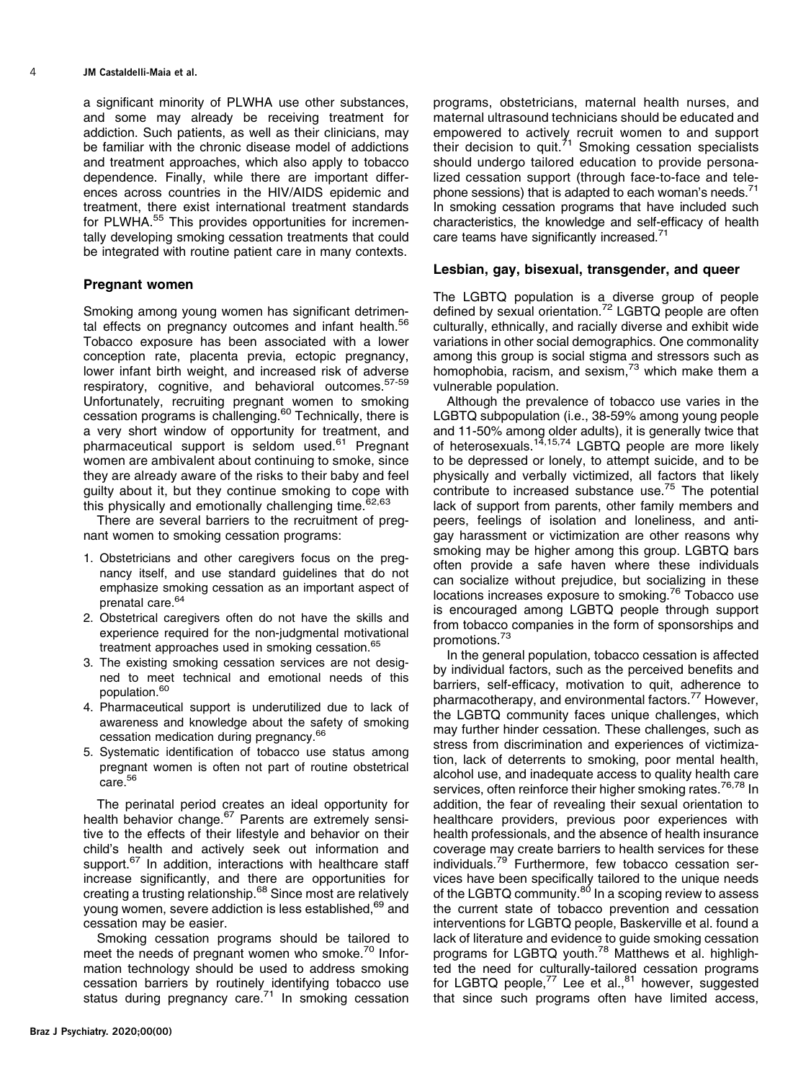#### 4 JM Castaldelli-Maia et al.

a significant minority of PLWHA use other substances, and some may already be receiving treatment for addiction. Such patients, as well as their clinicians, may be familiar with the chronic disease model of addictions and treatment approaches, which also apply to tobacco dependence. Finally, while there are important differences across countries in the HIV/AIDS epidemic and treatment, there exist international treatment standards for PLWHA.<sup>[55](#page-6-0)</sup> This provides opportunities for incrementally developing smoking cessation treatments that could be integrated with routine patient care in many contexts.

## Pregnant women

Smoking among young women has significant detrimen-tal effects on pregnancy outcomes and infant health.<sup>[56](#page-6-0)</sup> Tobacco exposure has been associated with a lower conception rate, placenta previa, ectopic pregnancy, lower infant birth weight, and increased risk of adverse respiratory, cognitive, and behavioral outcomes.<sup>57-[59](#page-6-0)</sup> Unfortunately, recruiting pregnant women to smoking cessation programs is challenging.[60](#page-6-0) Technically, there is a very short window of opportunity for treatment, and pharmaceutical support is seldom used.<sup>[61](#page-6-0)</sup> Pregnant women are ambivalent about continuing to smoke, since they are already aware of the risks to their baby and feel guilty about it, but they continue smoking to cope with this physically and emotionally challenging time.<sup>[62,63](#page-6-0)</sup>

There are several barriers to the recruitment of pregnant women to smoking cessation programs:

- 1. Obstetricians and other caregivers focus on the pregnancy itself, and use standard guidelines that do not emphasize smoking cessation as an important aspect of prenatal care.<sup>64</sup>
- 2. Obstetrical caregivers often do not have the skills and experience required for the non-judgmental motivational treatment approaches used in smoking cessation.<sup>[65](#page-6-0)</sup>
- 3. The existing smoking cessation services are not designed to meet technical and emotional needs of this population.<sup>[60](#page-6-0)</sup>
- 4. Pharmaceutical support is underutilized due to lack of awareness and knowledge about the safety of smoking cessation medication during pregnancy.[66](#page-6-0)
- 5. Systematic identification of tobacco use status among pregnant women is often not part of routine obstetrical care.<sup>56</sup>

The perinatal period creates an ideal opportunity for health behavior change.<sup>67</sup> Parents are extremely sensitive to the effects of their lifestyle and behavior on their child's health and actively seek out information and support.<sup>67</sup> In addition, interactions with healthcare staff increase significantly, and there are opportunities for creating a trusting relationship.<sup>[68](#page-6-0)</sup> Since most are relatively young women, severe addiction is less established, <sup>69</sup> and cessation may be easier.

Smoking cessation programs should be tailored to meet the needs of pregnant women who smoke.<sup>[70](#page-6-0)</sup> Information technology should be used to address smoking cessation barriers by routinely identifying tobacco use status during pregnancy care. $71$  In smoking cessation programs, obstetricians, maternal health nurses, and maternal ultrasound technicians should be educated and empowered to actively recruit women to and support their decision to quit. $^{71}$  $^{71}$  $^{71}$  Smoking cessation specialists should undergo tailored education to provide personalized cessation support (through face-to-face and tele-phone sessions) that is adapted to each woman's needs.<sup>[71](#page-6-0)</sup> In smoking cessation programs that have included such characteristics, the knowledge and self-efficacy of health care teams have significantly increased.<sup>[71](#page-6-0)</sup>

# Lesbian, gay, bisexual, transgender, and queer

The LGBTQ population is a diverse group of people defined by sexual orientation.<sup>[72](#page-6-0)</sup> LGBTQ people are often culturally, ethnically, and racially diverse and exhibit wide variations in other social demographics. One commonality among this group is social stigma and stressors such as homophobia, racism, and sexism,  $73$  which make them a vulnerable population.

Although the prevalence of tobacco use varies in the LGBTQ subpopulation (i.e., 38-59% among young people and 11-50% among older adults), it is generally twice that of heterosexuals.<sup>[14,15](#page-5-0)[,74](#page-7-0)</sup> LGBTQ people are more likely to be depressed or lonely, to attempt suicide, and to be physically and verbally victimized, all factors that likely contribute to increased substance use.[75](#page-7-0) The potential lack of support from parents, other family members and peers, feelings of isolation and loneliness, and antigay harassment or victimization are other reasons why smoking may be higher among this group. LGBTQ bars often provide a safe haven where these individuals can socialize without prejudice, but socializing in these locations increases exposure to smoking.<sup>[76](#page-7-0)</sup> Tobacco use is encouraged among LGBTQ people through support from tobacco companies in the form of sponsorships and promotions.[73](#page-6-0)

In the general population, tobacco cessation is affected by individual factors, such as the perceived benefits and barriers, self-efficacy, motivation to quit, adherence to pharmacotherapy, and environmental factors[.77](#page-7-0) However, the LGBTQ community faces unique challenges, which may further hinder cessation. These challenges, such as stress from discrimination and experiences of victimization, lack of deterrents to smoking, poor mental health, alcohol use, and inadequate access to quality health care services, often reinforce their higher smoking rates.<sup>[76,78](#page-7-0)</sup> In addition, the fear of revealing their sexual orientation to healthcare providers, previous poor experiences with health professionals, and the absence of health insurance coverage may create barriers to health services for these individuals.<sup>[79](#page-7-0)</sup> Furthermore, few tobacco cessation services have been specifically tailored to the unique needs of the LGBTQ community.<sup>[80](#page-7-0)</sup> In a scoping review to assess the current state of tobacco prevention and cessation interventions for LGBTQ people, Baskerville et al. found a lack of literature and evidence to guide smoking cessation programs for LGBTQ youth.[78](#page-7-0) Matthews et al. highlighted the need for culturally-tailored cessation programs for LGBTQ people, $^{77}$  Lee et al., $^{81}$  $^{81}$  $^{81}$  however, suggested that since such programs often have limited access,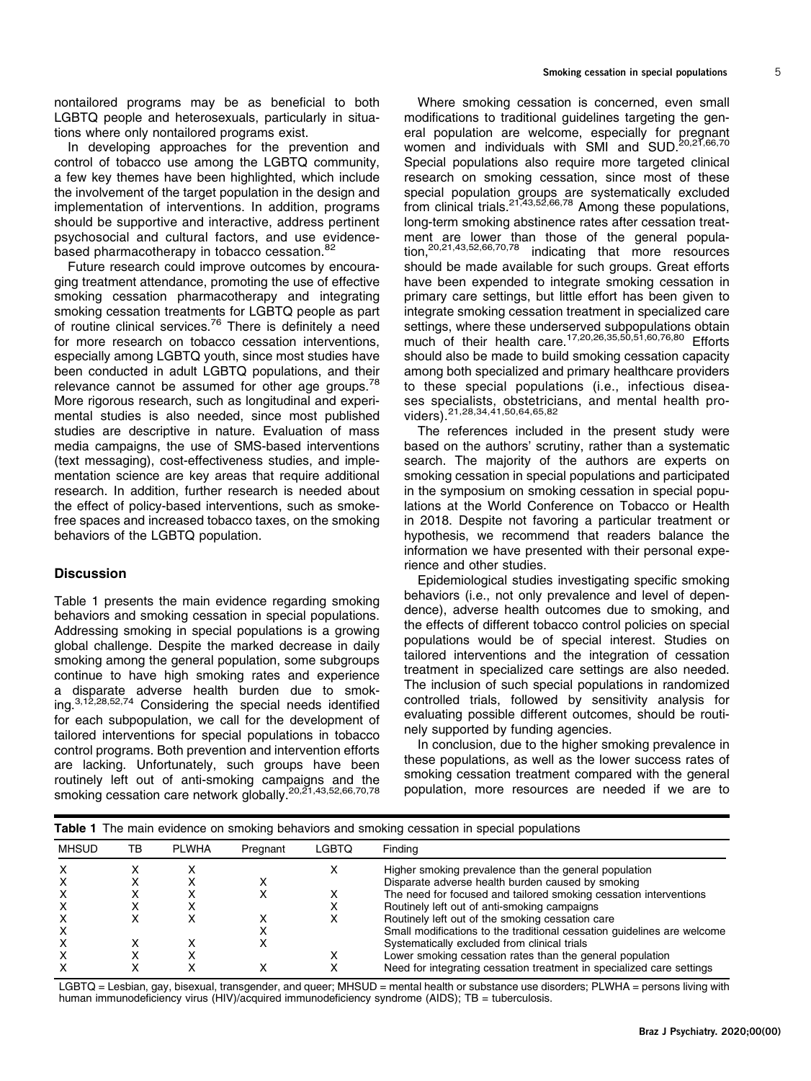nontailored programs may be as beneficial to both LGBTQ people and heterosexuals, particularly in situations where only nontailored programs exist.

In developing approaches for the prevention and control of tobacco use among the LGBTQ community, a few key themes have been highlighted, which include the involvement of the target population in the design and implementation of interventions. In addition, programs should be supportive and interactive, address pertinent psychosocial and cultural factors, and use evidence-based pharmacotherapy in tobacco cessation.<sup>[82](#page-7-0)</sup>

Future research could improve outcomes by encouraging treatment attendance, promoting the use of effective smoking cessation pharmacotherapy and integrating smoking cessation treatments for LGBTQ people as part of routine clinical services.<sup>[76](#page-7-0)</sup> There is definitely a need for more research on tobacco cessation interventions, especially among LGBTQ youth, since most studies have been conducted in adult LGBTQ populations, and their relevance cannot be assumed for other age groups.<sup>78</sup> More rigorous research, such as longitudinal and experimental studies is also needed, since most published studies are descriptive in nature. Evaluation of mass media campaigns, the use of SMS-based interventions (text messaging), cost-effectiveness studies, and implementation science are key areas that require additional research. In addition, further research is needed about the effect of policy-based interventions, such as smokefree spaces and increased tobacco taxes, on the smoking behaviors of the LGBTQ population.

# **Discussion**

Table 1 presents the main evidence regarding smoking behaviors and smoking cessation in special populations. Addressing smoking in special populations is a growing global challenge. Despite the marked decrease in daily smoking among the general population, some subgroups continue to have high smoking rates and experience a disparate adverse health burden due to smoking.[3,12,28,](#page-5-0)[52](#page-6-0)[,74](#page-7-0) Considering the special needs identified for each subpopulation, we call for the development of tailored interventions for special populations in tobacco control programs. Both prevention and intervention efforts are lacking. Unfortunately, such groups have been routinely left out of anti-smoking campaigns and the smoking cessation care network globally.<sup>20,21,[43,52,66,70](#page-6-0)[,78](#page-7-0)</sup>

Where smoking cessation is concerned, even small modifications to traditional guidelines targeting the general population are welcome, especially for pregnant women and individuals with SMI and SUD.<sup>[20,21](#page-5-0)[,66,70](#page-6-0)</sup> Special populations also require more targeted clinical research on smoking cessation, since most of these special population groups are systematically excluded from clinical trials.<sup>[21,](#page-5-0)[43,52,66](#page-6-0)[,78](#page-7-0)</sup> Among these populations, long-term smoking abstinence rates after cessation treatment are lower than those of the general population,[20,21](#page-5-0)[,43,52,66,70,](#page-6-0)[78](#page-7-0) indicating that more resources should be made available for such groups. Great efforts have been expended to integrate smoking cessation in primary care settings, but little effort has been given to integrate smoking cessation treatment in specialized care settings, where these underserved subpopulations obtain much of their health care.<sup>17,20,26,[35,50,51,60](#page-6-0)[,76,80](#page-7-0)</sup> Efforts should also be made to build smoking cessation capacity among both specialized and primary healthcare providers to these special populations (i.e., infectious diseases specialists, obstetricians, and mental health providers).[21](#page-5-0),[28,](#page-5-0)[34,41,50,64,65,](#page-6-0)[82](#page-7-0)

The references included in the present study were based on the authors' scrutiny, rather than a systematic search. The majority of the authors are experts on smoking cessation in special populations and participated in the symposium on smoking cessation in special populations at the World Conference on Tobacco or Health in 2018. Despite not favoring a particular treatment or hypothesis, we recommend that readers balance the information we have presented with their personal experience and other studies.

Epidemiological studies investigating specific smoking behaviors (i.e., not only prevalence and level of dependence), adverse health outcomes due to smoking, and the effects of different tobacco control policies on special populations would be of special interest. Studies on tailored interventions and the integration of cessation treatment in specialized care settings are also needed. The inclusion of such special populations in randomized controlled trials, followed by sensitivity analysis for evaluating possible different outcomes, should be routinely supported by funding agencies.

In conclusion, due to the higher smoking prevalence in these populations, as well as the lower success rates of smoking cessation treatment compared with the general population, more resources are needed if we are to

| <b>MHSUD</b> | тв | <b>PLWHA</b> | Pregnant | <b>LGBTQ</b> | Findina                                                                 |
|--------------|----|--------------|----------|--------------|-------------------------------------------------------------------------|
|              |    |              |          |              | Higher smoking prevalence than the general population                   |
|              |    |              |          |              | Disparate adverse health burden caused by smoking                       |
|              |    |              |          |              | The need for focused and tailored smoking cessation interventions       |
|              |    |              |          |              | Routinely left out of anti-smoking campaigns                            |
|              |    |              |          |              | Routinely left out of the smoking cessation care                        |
|              |    |              |          |              | Small modifications to the traditional cessation guidelines are welcome |
|              |    |              |          |              | Systematically excluded from clinical trials                            |
|              |    |              |          |              | Lower smoking cessation rates than the general population               |
|              |    |              |          |              | Need for integrating cessation treatment in specialized care settings   |

LGBTQ = Lesbian, gay, bisexual, transgender, and queer; MHSUD = mental health or substance use disorders; PLWHA = persons living with human immunodeficiency virus (HIV)/acquired immunodeficiency syndrome (AIDS); TB = tuberculosis.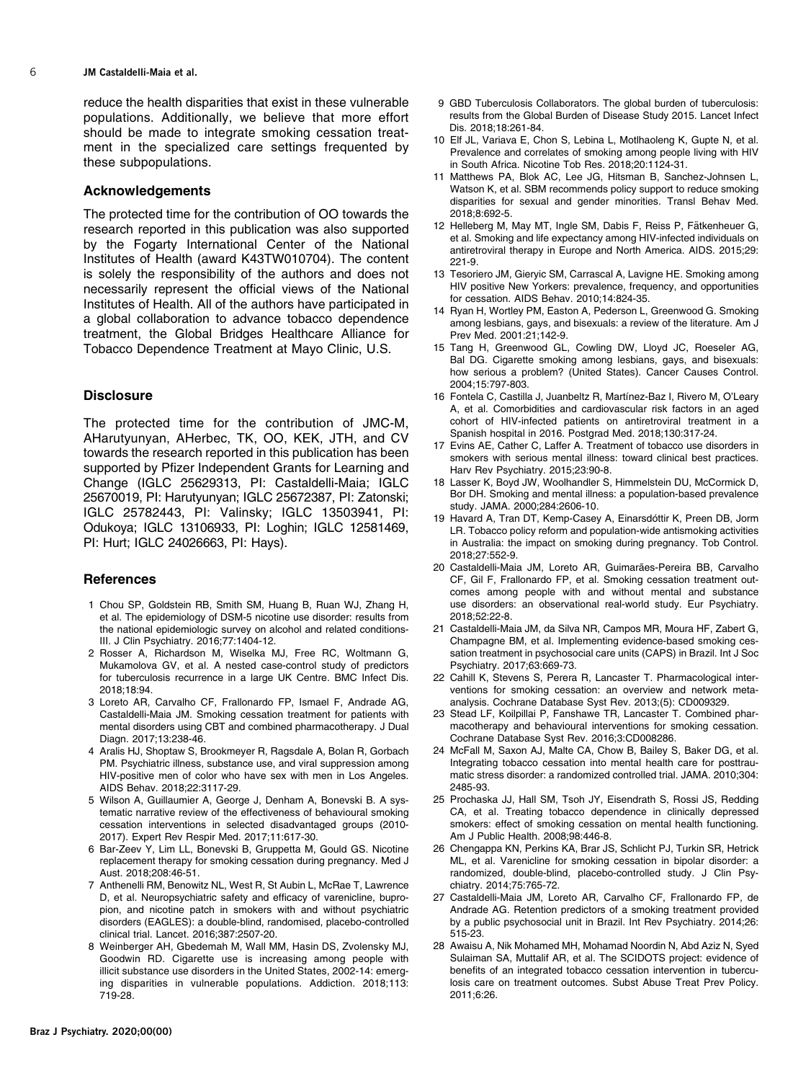<span id="page-5-0"></span>6 JM Castaldelli-Maia et al.

reduce the health disparities that exist in these vulnerable populations. Additionally, we believe that more effort should be made to integrate smoking cessation treatment in the specialized care settings frequented by these subpopulations.

#### Acknowledgements

The protected time for the contribution of OO towards the research reported in this publication was also supported by the Fogarty International Center of the National Institutes of Health (award K43TW010704). The content is solely the responsibility of the authors and does not necessarily represent the official views of the National Institutes of Health. All of the authors have participated in a global collaboration to advance tobacco dependence treatment, the Global Bridges Healthcare Alliance for Tobacco Dependence Treatment at Mayo Clinic, U.S.

## **Disclosure**

The protected time for the contribution of JMC-M, AHarutyunyan, AHerbec, TK, OO, KEK, JTH, and CV towards the research reported in this publication has been supported by Pfizer Independent Grants for Learning and Change (IGLC 25629313, PI: Castaldelli-Maia; IGLC 25670019, PI: Harutyunyan; IGLC 25672387, PI: Zatonski; IGLC 25782443, PI: Valinsky; IGLC 13503941, PI: Odukoya; IGLC 13106933, PI: Loghin; IGLC 12581469, PI: Hurt; IGLC 24026663, PI: Hays).

## References

- 1 Chou SP, Goldstein RB, Smith SM, Huang B, Ruan WJ, Zhang H, et al. The epidemiology of DSM-5 nicotine use disorder: results from the national epidemiologic survey on alcohol and related conditions-III. J Clin Psychiatry. 2016;77:1404-12.
- 2 Rosser A, Richardson M, Wiselka MJ, Free RC, Woltmann G, Mukamolova GV, et al. A nested case-control study of predictors for tuberculosis recurrence in a large UK Centre. BMC Infect Dis. 2018;18:94.
- 3 Loreto AR, Carvalho CF, Frallonardo FP, Ismael F, Andrade AG, Castaldelli-Maia JM. Smoking cessation treatment for patients with mental disorders using CBT and combined pharmacotherapy. J Dual Diagn. 2017;13:238-46.
- 4 Aralis HJ, Shoptaw S, Brookmeyer R, Ragsdale A, Bolan R, Gorbach PM. Psychiatric illness, substance use, and viral suppression among HIV-positive men of color who have sex with men in Los Angeles. AIDS Behav. 2018;22:3117-29.
- 5 Wilson A, Guillaumier A, George J, Denham A, Bonevski B. A systematic narrative review of the effectiveness of behavioural smoking cessation interventions in selected disadvantaged groups (2010- 2017). Expert Rev Respir Med. 2017;11:617-30.
- 6 Bar-Zeev Y, Lim LL, Bonevski B, Gruppetta M, Gould GS. Nicotine replacement therapy for smoking cessation during pregnancy. Med J Aust. 2018;208:46-51.
- 7 Anthenelli RM, Benowitz NL, West R, St Aubin L, McRae T, Lawrence D, et al. Neuropsychiatric safety and efficacy of varenicline, bupropion, and nicotine patch in smokers with and without psychiatric disorders (EAGLES): a double-blind, randomised, placebo-controlled clinical trial. Lancet. 2016;387:2507-20.
- 8 Weinberger AH, Gbedemah M, Wall MM, Hasin DS, Zvolensky MJ, Goodwin RD. Cigarette use is increasing among people with illicit substance use disorders in the United States, 2002-14: emerging disparities in vulnerable populations. Addiction. 2018;113: 719-28.
- 10 Elf JL, Variava E, Chon S, Lebina L, Motlhaoleng K, Gupte N, et al. Prevalence and correlates of smoking among people living with HIV in South Africa. Nicotine Tob Res. 2018;20:1124-31.
- 11 Matthews PA, Blok AC, Lee JG, Hitsman B, Sanchez-Johnsen L, Watson K, et al. SBM recommends policy support to reduce smoking disparities for sexual and gender minorities. Transl Behav Med. 2018;8:692-5.
- 12 Helleberg M, May MT, Ingle SM, Dabis F, Reiss P, Fätkenheuer G, et al. Smoking and life expectancy among HIV-infected individuals on antiretroviral therapy in Europe and North America. AIDS. 2015;29: 221-9.
- 13 Tesoriero JM, Gieryic SM, Carrascal A, Lavigne HE. Smoking among HIV positive New Yorkers: prevalence, frequency, and opportunities for cessation. AIDS Behav. 2010;14:824-35.
- 14 Ryan H, Wortley PM, Easton A, Pederson L, Greenwood G. Smoking among lesbians, gays, and bisexuals: a review of the literature. Am J Prev Med. 2001:21;142-9.
- 15 Tang H, Greenwood GL, Cowling DW, Lloyd JC, Roeseler AG, Bal DG. Cigarette smoking among lesbians, gays, and bisexuals: how serious a problem? (United States). Cancer Causes Control. 2004;15:797-803.
- 16 Fontela C, Castilla J, Juanbeltz R, Martínez-Baz I, Rivero M, O'Leary A, et al. Comorbidities and cardiovascular risk factors in an aged cohort of HIV-infected patients on antiretroviral treatment in a Spanish hospital in 2016. Postgrad Med. 2018;130:317-24.
- 17 Evins AE, Cather C, Laffer A. Treatment of tobacco use disorders in smokers with serious mental illness: toward clinical best practices. Harv Rev Psychiatry. 2015;23:90-8.
- 18 Lasser K, Boyd JW, Woolhandler S, Himmelstein DU, McCormick D, Bor DH. Smoking and mental illness: a population-based prevalence study. JAMA. 2000;284:2606-10.
- 19 Havard A, Tran DT, Kemp-Casey A, Einarsdóttir K, Preen DB, Jorm LR. Tobacco policy reform and population-wide antismoking activities in Australia: the impact on smoking during pregnancy. Tob Control. 2018;27:552-9.
- 20 Castaldelli-Maia JM, Loreto AR, Guimarães-Pereira BB, Carvalho CF, Gil F, Frallonardo FP, et al. Smoking cessation treatment outcomes among people with and without mental and substance use disorders: an observational real-world study. Eur Psychiatry. 2018;52:22-8.
- 21 Castaldelli-Maia JM, da Silva NR, Campos MR, Moura HF, Zabert G, Champagne BM, et al. Implementing evidence-based smoking cessation treatment in psychosocial care units (CAPS) in Brazil. Int J Soc Psychiatry. 2017;63:669-73.
- 22 Cahill K, Stevens S, Perera R, Lancaster T. Pharmacological interventions for smoking cessation: an overview and network metaanalysis. Cochrane Database Syst Rev. 2013;(5): CD009329.
- 23 Stead LF, Koilpillai P, Fanshawe TR, Lancaster T. Combined pharmacotherapy and behavioural interventions for smoking cessation. Cochrane Database Syst Rev. 2016;3:CD008286.
- 24 McFall M, Saxon AJ, Malte CA, Chow B, Bailey S, Baker DG, et al. Integrating tobacco cessation into mental health care for posttraumatic stress disorder: a randomized controlled trial. JAMA. 2010;304: 2485-93.
- 25 Prochaska JJ, Hall SM, Tsoh JY, Eisendrath S, Rossi JS, Redding CA, et al. Treating tobacco dependence in clinically depressed smokers: effect of smoking cessation on mental health functioning. Am J Public Health. 2008;98:446-8.
- 26 Chengappa KN, Perkins KA, Brar JS, Schlicht PJ, Turkin SR, Hetrick ML, et al. Varenicline for smoking cessation in bipolar disorder: a randomized, double-blind, placebo-controlled study. J Clin Psychiatry. 2014;75:765-72.
- 27 Castaldelli-Maia JM, Loreto AR, Carvalho CF, Frallonardo FP, de Andrade AG. Retention predictors of a smoking treatment provided by a public psychosocial unit in Brazil. Int Rev Psychiatry. 2014;26: 515-23.
- 28 Awaisu A, Nik Mohamed MH, Mohamad Noordin N, Abd Aziz N, Syed Sulaiman SA, Muttalif AR, et al. The SCIDOTS project: evidence of benefits of an integrated tobacco cessation intervention in tuberculosis care on treatment outcomes. Subst Abuse Treat Prev Policy. 2011;6:26.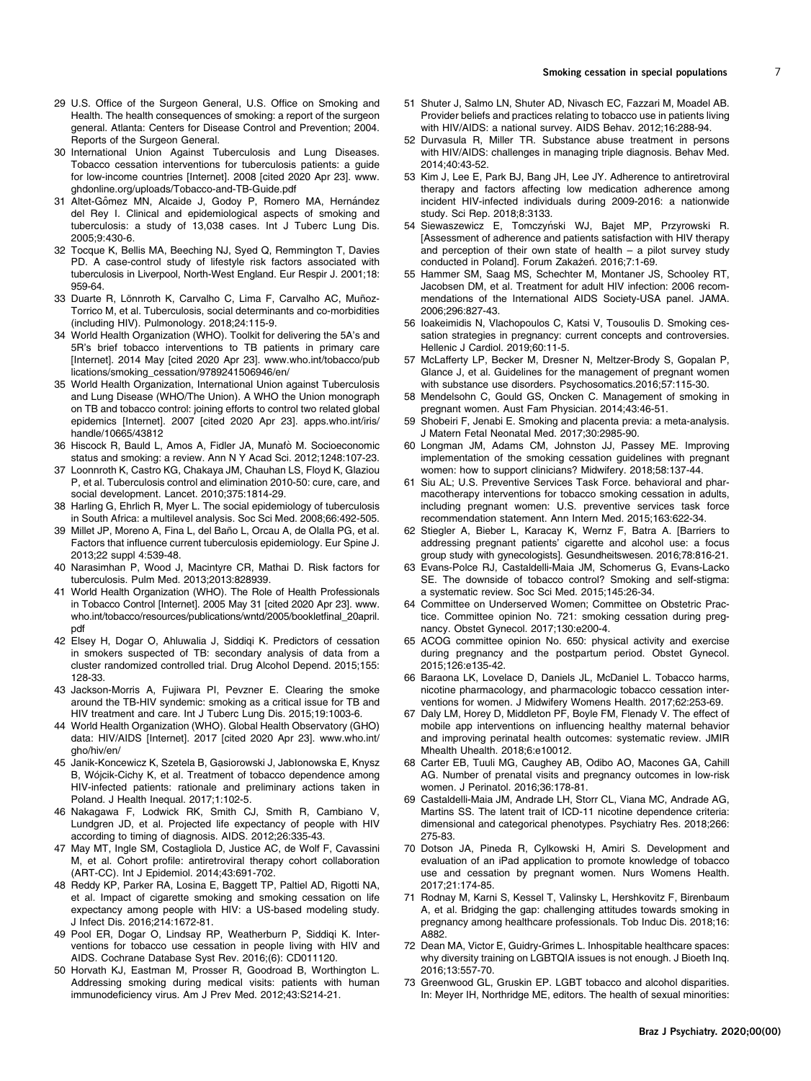- <span id="page-6-0"></span>29 U.S. Office of the Surgeon General, U.S. Office on Smoking and Health. The health consequences of smoking: a report of the surgeon general. Atlanta: Centers for Disease Control and Prevention; 2004. Reports of the Surgeon General.
- 30 International Union Against Tuberculosis and Lung Diseases. Tobacco cessation interventions for tuberculosis patients: a guide for low-income countries [Internet]. 2008 [cited 2020 Apr 23]. [www.](www.ghdonline.org/uploads/Tobacco-and-TB-Guide.pdf) [ghdonline.org/uploads/Tobacco-and-TB-Guide.pdf](www.ghdonline.org/uploads/Tobacco-and-TB-Guide.pdf)
- 31 Altet-Gômez MN, Alcaide J, Godoy P, Romero MA, Hernández del Rey I. Clinical and epidemiological aspects of smoking and tuberculosis: a study of 13,038 cases. Int J Tuberc Lung Dis. 2005;9:430-6.
- 32 Tocque K, Bellis MA, Beeching NJ, Syed Q, Remmington T, Davies PD. A case-control study of lifestyle risk factors associated with tuberculosis in Liverpool, North-West England. Eur Respir J. 2001;18: 959-64.
- 33 Duarte R, Lönnroth K, Carvalho C, Lima F, Carvalho AC, Muñoz-Torrico M, et al. Tuberculosis, social determinants and co-morbidities (including HIV). Pulmonology. 2018;24:115-9.
- 34 World Health Organization (WHO). Toolkit for delivering the 5A's and 5R's brief tobacco interventions to TB patients in primary care [Internet]. 2014 May [cited 2020 Apr 23]. [www.who.int/tobacco/pub](www.who.int/tobacco/publications/smoking_cessation/9789241506946/en/) [lications/smoking\\_cessation/9789241506946/en/](www.who.int/tobacco/publications/smoking_cessation/9789241506946/en/)
- 35 World Health Organization, International Union against Tuberculosis and Lung Disease (WHO/The Union). A WHO the Union monograph on TB and tobacco control: joining efforts to control two related global epidemics [Internet]. 2007 [cited 2020 Apr 23]. [apps.who.int/iris/](apps.who.int/iris/handle/10665/43812) [handle/10665/43812](apps.who.int/iris/handle/10665/43812)
- 36 Hiscock R, Bauld L, Amos A, Fidler JA, Munafò M. Socioeconomic status and smoking: a review. Ann N Y Acad Sci. 2012;1248:107-23.
- 37 Loonnroth K, Castro KG, Chakaya JM, Chauhan LS, Floyd K, Glaziou P, et al. Tuberculosis control and elimination 2010-50: cure, care, and social development. Lancet. 2010;375:1814-29.
- 38 Harling G, Ehrlich R, Myer L. The social epidemiology of tuberculosis in South Africa: a multilevel analysis. Soc Sci Med. 2008;66:492-505.
- 39 Millet JP, Moreno A, Fina L, del Baño L, Orcau A, de Olalla PG, et al. Factors that influence current tuberculosis epidemiology. Eur Spine J. 2013;22 suppl 4:539-48.
- 40 Narasimhan P, Wood J, Macintyre CR, Mathai D. Risk factors for tuberculosis. Pulm Med. 2013;2013:828939.
- 41 World Health Organization (WHO). The Role of Health Professionals in Tobacco Control [Internet]. 2005 May 31 [cited 2020 Apr 23]. [www.](www.who.int/tobacco/resources/publications/wntd/2005/bookletfinal_20april.pdf) [who.int/tobacco/resources/publications/wntd/2005/bookletfinal\\_20april.](www.who.int/tobacco/resources/publications/wntd/2005/bookletfinal_20april.pdf) [pdf](www.who.int/tobacco/resources/publications/wntd/2005/bookletfinal_20april.pdf)
- 42 Elsey H, Dogar O, Ahluwalia J, Siddiqi K. Predictors of cessation in smokers suspected of TB: secondary analysis of data from a cluster randomized controlled trial. Drug Alcohol Depend. 2015;155: 128-33.
- 43 Jackson-Morris A, Fujiwara PI, Pevzner E. Clearing the smoke around the TB-HIV syndemic: smoking as a critical issue for TB and HIV treatment and care. Int J Tuberc Lung Dis. 2015;19:1003-6.
- 44 World Health Organization (WHO). Global Health Observatory (GHO) data: HIV/AIDS [Internet]. 2017 [cited 2020 Apr 23]. [www.who.int/](www.who.int/gho/hiv/en/) [gho/hiv/en/](www.who.int/gho/hiv/en/)
- 45 Janik-Koncewicz K, Szetela B, Gasiorowski J, Jabłonowska E, Knysz B. Wójcik-Cichy K, et al. Treatment of tobacco dependence among HIV-infected patients: rationale and preliminary actions taken in Poland. J Health Inequal. 2017;1:102-5.
- 46 Nakagawa F, Lodwick RK, Smith CJ, Smith R, Cambiano V, Lundgren JD, et al. Projected life expectancy of people with HIV according to timing of diagnosis. AIDS. 2012;26:335-43.
- 47 May MT, Ingle SM, Costagliola D, Justice AC, de Wolf F, Cavassini M, et al. Cohort profile: antiretroviral therapy cohort collaboration (ART-CC). Int J Epidemiol. 2014;43:691-702.
- 48 Reddy KP, Parker RA, Losina E, Baggett TP, Paltiel AD, Rigotti NA, et al. Impact of cigarette smoking and smoking cessation on life expectancy among people with HIV: a US-based modeling study. J Infect Dis. 2016;214:1672-81.
- 49 Pool ER, Dogar O, Lindsay RP, Weatherburn P, Siddiqi K. Interventions for tobacco use cessation in people living with HIV and AIDS. Cochrane Database Syst Rev. 2016;(6): CD011120.
- 50 Horvath KJ, Eastman M, Prosser R, Goodroad B, Worthington L. Addressing smoking during medical visits: patients with human immunodeficiency virus. Am J Prev Med. 2012;43:S214-21.
- 51 Shuter J, Salmo LN, Shuter AD, Nivasch EC, Fazzari M, Moadel AB. Provider beliefs and practices relating to tobacco use in patients living with HIV/AIDS: a national survey. AIDS Behav. 2012;16:288-94.
- 52 Durvasula R, Miller TR. Substance abuse treatment in persons with HIV/AIDS: challenges in managing triple diagnosis. Behav Med. 2014;40:43-52.
- 53 Kim J, Lee E, Park BJ, Bang JH, Lee JY. Adherence to antiretroviral therapy and factors affecting low medication adherence among incident HIV-infected individuals during 2009-2016: a nationwide study. Sci Rep. 2018;8:3133.
- 54 Siewaszewicz E, Tomczyński WJ, Bajet MP, Przyrowski R. [Assessment of adherence and patients satisfaction with HIV therapy and perception of their own state of health – a pilot survey study conducted in Poland]. Forum Zakażeń. 2016;7:1-69.
- 55 Hammer SM, Saag MS, Schechter M, Montaner JS, Schooley RT, Jacobsen DM, et al. Treatment for adult HIV infection: 2006 recommendations of the International AIDS Society-USA panel. JAMA. 2006;296:827-43.
- 56 Ioakeimidis N, Vlachopoulos C, Katsi V, Tousoulis D. Smoking cessation strategies in pregnancy: current concepts and controversies. Hellenic J Cardiol. 2019;60:11-5.
- 57 McLafferty LP, Becker M, Dresner N, Meltzer-Brody S, Gopalan P, Glance J, et al. Guidelines for the management of pregnant women with substance use disorders. Psychosomatics.2016;57:115-30.
- 58 Mendelsohn C, Gould GS, Oncken C. Management of smoking in pregnant women. Aust Fam Physician. 2014;43:46-51.
- 59 Shobeiri F, Jenabi E. Smoking and placenta previa: a meta-analysis. J Matern Fetal Neonatal Med. 2017;30:2985-90.
- 60 Longman JM, Adams CM, Johnston JJ, Passey ME. Improving implementation of the smoking cessation guidelines with pregnant women: how to support clinicians? Midwifery. 2018;58:137-44.
- 61 Siu AL; U.S. Preventive Services Task Force. behavioral and pharmacotherapy interventions for tobacco smoking cessation in adults, including pregnant women: U.S. preventive services task force recommendation statement. Ann Intern Med. 2015;163:622-34.
- 62 Stiegler A, Bieber L, Karacay K, Wernz F, Batra A. [Barriers to addressing pregnant patients' cigarette and alcohol use: a focus group study with gynecologists]. Gesundheitswesen. 2016;78:816-21.
- 63 Evans-Polce RJ, Castaldelli-Maia JM, Schomerus G, Evans-Lacko SE. The downside of tobacco control? Smoking and self-stigma: a systematic review. Soc Sci Med. 2015;145:26-34.
- 64 Committee on Underserved Women; Committee on Obstetric Practice. Committee opinion No. 721: smoking cessation during pregnancy. Obstet Gynecol. 2017;130:e200-4.
- 65 ACOG committee opinion No. 650: physical activity and exercise during pregnancy and the postpartum period. Obstet Gynecol. 2015;126:e135-42.
- 66 Baraona LK, Lovelace D, Daniels JL, McDaniel L. Tobacco harms, nicotine pharmacology, and pharmacologic tobacco cessation interventions for women. J Midwifery Womens Health. 2017;62:253-69.
- 67 Daly LM, Horey D, Middleton PF, Boyle FM, Flenady V. The effect of mobile app interventions on influencing healthy maternal behavior and improving perinatal health outcomes: systematic review. JMIR Mhealth Uhealth. 2018;6:e10012.
- 68 Carter EB, Tuuli MG, Caughey AB, Odibo AO, Macones GA, Cahill AG. Number of prenatal visits and pregnancy outcomes in low-risk women. J Perinatol. 2016;36:178-81.
- Castaldelli-Maia JM, Andrade LH, Storr CL, Viana MC, Andrade AG, Martins SS. The latent trait of ICD-11 nicotine dependence criteria: dimensional and categorical phenotypes. Psychiatry Res. 2018;266: 275-83.
- 70 Dotson JA, Pineda R, Cylkowski H, Amiri S. Development and evaluation of an iPad application to promote knowledge of tobacco use and cessation by pregnant women. Nurs Womens Health. 2017;21:174-85.
- 71 Rodnay M, Karni S, Kessel T, Valinsky L, Hershkovitz F, Birenbaum A, et al. Bridging the gap: challenging attitudes towards smoking in pregnancy among healthcare professionals. Tob Induc Dis. 2018;16: A882.
- 72 Dean MA, Victor E, Guidry-Grimes L. Inhospitable healthcare spaces: why diversity training on LGBTQIA issues is not enough. J Bioeth Inq. 2016;13:557-70.
- 73 Greenwood GL, Gruskin EP. LGBT tobacco and alcohol disparities. In: Meyer IH, Northridge ME, editors. The health of sexual minorities: